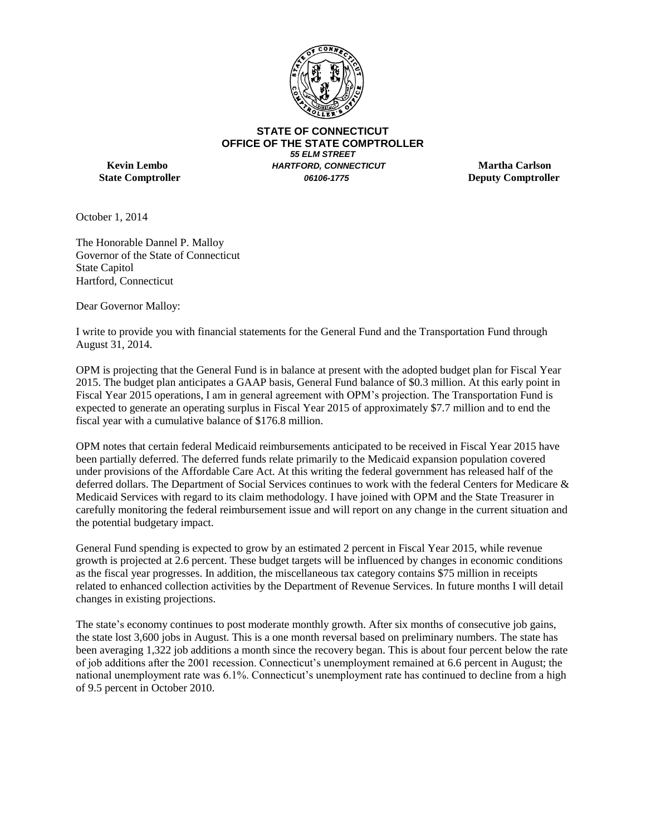

**STATE OF CONNECTICUT OFFICE OF THE STATE COMPTROLLER**  *55 ELM STREET* **Kevin Lembo** *HARTFORD, CONNECTICUT* **Martha Carlson State Comptroller** *06106-1775* **Deputy Comptroller**

October 1, 2014

The Honorable Dannel P. Malloy Governor of the State of Connecticut State Capitol Hartford, Connecticut

Dear Governor Malloy:

I write to provide you with financial statements for the General Fund and the Transportation Fund through August 31, 2014.

OPM is projecting that the General Fund is in balance at present with the adopted budget plan for Fiscal Year 2015. The budget plan anticipates a GAAP basis, General Fund balance of \$0.3 million. At this early point in Fiscal Year 2015 operations, I am in general agreement with OPM's projection. The Transportation Fund is expected to generate an operating surplus in Fiscal Year 2015 of approximately \$7.7 million and to end the fiscal year with a cumulative balance of \$176.8 million.

OPM notes that certain federal Medicaid reimbursements anticipated to be received in Fiscal Year 2015 have been partially deferred. The deferred funds relate primarily to the Medicaid expansion population covered under provisions of the Affordable Care Act. At this writing the federal government has released half of the deferred dollars. The Department of Social Services continues to work with the federal Centers for Medicare & Medicaid Services with regard to its claim methodology. I have joined with OPM and the State Treasurer in carefully monitoring the federal reimbursement issue and will report on any change in the current situation and the potential budgetary impact.

General Fund spending is expected to grow by an estimated 2 percent in Fiscal Year 2015, while revenue growth is projected at 2.6 percent. These budget targets will be influenced by changes in economic conditions as the fiscal year progresses. In addition, the miscellaneous tax category contains \$75 million in receipts related to enhanced collection activities by the Department of Revenue Services. In future months I will detail changes in existing projections.

The state's economy continues to post moderate monthly growth. After six months of consecutive job gains, the state lost 3,600 jobs in August. This is a one month reversal based on preliminary numbers. The state has been averaging 1,322 job additions a month since the recovery began. This is about four percent below the rate of job additions after the 2001 recession. Connecticut's unemployment remained at 6.6 percent in August; the national unemployment rate was 6.1%. Connecticut's unemployment rate has continued to decline from a high of 9.5 percent in October 2010.